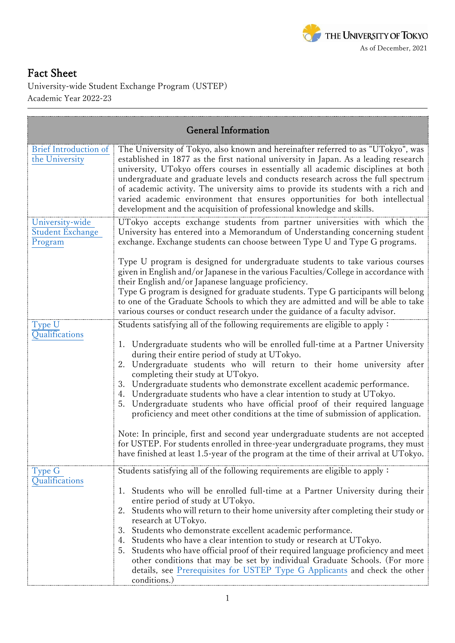

## Fact Sheet

University-wide Student Exchange Program (USTEP) Academic Year 2022-23

| <b>General Information</b>                            |                                                                                                                                                                                                                                                                                                                                                                                                                                                                                                                                                                                                                                                                                                                                                                                                                                                                                                                                          |  |  |  |
|-------------------------------------------------------|------------------------------------------------------------------------------------------------------------------------------------------------------------------------------------------------------------------------------------------------------------------------------------------------------------------------------------------------------------------------------------------------------------------------------------------------------------------------------------------------------------------------------------------------------------------------------------------------------------------------------------------------------------------------------------------------------------------------------------------------------------------------------------------------------------------------------------------------------------------------------------------------------------------------------------------|--|--|--|
| <b>Brief Introduction of</b><br>the University        | The University of Tokyo, also known and hereinafter referred to as "UTokyo", was<br>established in 1877 as the first national university in Japan. As a leading research<br>university, UTokyo offers courses in essentially all academic disciplines at both<br>undergraduate and graduate levels and conducts research across the full spectrum<br>of academic activity. The university aims to provide its students with a rich and<br>varied academic environment that ensures opportunities for both intellectual<br>development and the acquisition of professional knowledge and skills.                                                                                                                                                                                                                                                                                                                                          |  |  |  |
| University-wide<br><b>Student Exchange</b><br>Program | UTokyo accepts exchange students from partner universities with which the<br>University has entered into a Memorandum of Understanding concerning student<br>exchange. Exchange students can choose between Type U and Type G programs.                                                                                                                                                                                                                                                                                                                                                                                                                                                                                                                                                                                                                                                                                                  |  |  |  |
|                                                       | Type U program is designed for undergraduate students to take various courses<br>given in English and/or Japanese in the various Faculties/College in accordance with<br>their English and/or Japanese language proficiency.<br>Type G program is designed for graduate students. Type G participants will belong<br>to one of the Graduate Schools to which they are admitted and will be able to take<br>various courses or conduct research under the guidance of a faculty advisor.                                                                                                                                                                                                                                                                                                                                                                                                                                                  |  |  |  |
| Type U<br>Qualifications                              | Students satisfying all of the following requirements are eligible to apply:<br>Undergraduate students who will be enrolled full-time at a Partner University<br>1.<br>during their entire period of study at UTokyo.<br>2. Undergraduate students who will return to their home university after<br>completing their study at UTokyo.<br>3. Undergraduate students who demonstrate excellent academic performance.<br>4. Undergraduate students who have a clear intention to study at UTokyo.<br>Undergraduate students who have official proof of their required language<br>5.<br>proficiency and meet other conditions at the time of submission of application.<br>Note: In principle, first and second year undergraduate students are not accepted<br>for USTEP. For students enrolled in three-year undergraduate programs, they must<br>have finished at least 1.5-year of the program at the time of their arrival at UTokyo. |  |  |  |
| Type G<br>Qualifications                              | Students satisfying all of the following requirements are eligible to apply:<br>1. Students who will be enrolled full-time at a Partner University during their<br>entire period of study at UTokyo.<br>Students who will return to their home university after completing their study or<br>2.<br>research at UTokyo.<br>3. Students who demonstrate excellent academic performance.<br>4. Students who have a clear intention to study or research at UTokyo.<br>Students who have official proof of their required language proficiency and meet<br>5.<br>other conditions that may be set by individual Graduate Schools. (For more<br>details, see Prerequisites for USTEP Type G Applicants and check the other<br>conditions.)                                                                                                                                                                                                    |  |  |  |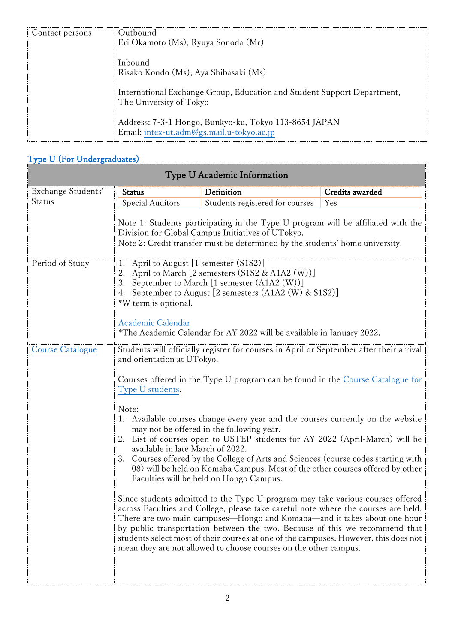| Contact persons | Outhound<br>Eri Okamoto (Ms), Ryuya Sonoda (Mr)                                                    |
|-----------------|----------------------------------------------------------------------------------------------------|
|                 | Inbound<br>Risako Kondo (Ms), Aya Shibasaki (Ms)                                                   |
|                 | International Exchange Group, Education and Student Support Department,<br>The University of Tokyo |
|                 | Address: 7-3-1 Hongo, Bunkyo-ku, Tokyo 113-8654 JAPAN<br>Email: intex-ut.adm@gs.mail.u-tokyo.ac.jp |

## [Type U](http://www.u-tokyo.ac.jp/en/academics/ustep-type-u.html) (For Undergraduates)

đ

| Type U Academic Information |                                                                                                                                                                                                                                                                                                                                                                                                                                                                                             |                                                                                                                                                                                                                                                                                                                                                                                                                         |                 |  |  |
|-----------------------------|---------------------------------------------------------------------------------------------------------------------------------------------------------------------------------------------------------------------------------------------------------------------------------------------------------------------------------------------------------------------------------------------------------------------------------------------------------------------------------------------|-------------------------------------------------------------------------------------------------------------------------------------------------------------------------------------------------------------------------------------------------------------------------------------------------------------------------------------------------------------------------------------------------------------------------|-----------------|--|--|
| Exchange Students'          | <b>Status</b>                                                                                                                                                                                                                                                                                                                                                                                                                                                                               | Definition                                                                                                                                                                                                                                                                                                                                                                                                              | Credits awarded |  |  |
| Status                      | Special Auditors                                                                                                                                                                                                                                                                                                                                                                                                                                                                            | Students registered for courses                                                                                                                                                                                                                                                                                                                                                                                         | Yes             |  |  |
|                             | Note 1: Students participating in the Type U program will be affiliated with the<br>Division for Global Campus Initiatives of UTokyo.<br>Note 2: Credit transfer must be determined by the students' home university.                                                                                                                                                                                                                                                                       |                                                                                                                                                                                                                                                                                                                                                                                                                         |                 |  |  |
| Period of Study             | 1. April to August [1 semester (S1S2)]<br>2. April to March [2 semesters (S1S2 & A1A2 (W))]<br>3. September to March [1 semester (A1A2 (W))]<br>September to August [2 semesters (A1A2 (W) & S1S2)]<br>4.<br>*W term is optional.<br>Academic Calendar<br>*The Academic Calendar for AY 2022 will be available in January 2022.                                                                                                                                                             |                                                                                                                                                                                                                                                                                                                                                                                                                         |                 |  |  |
| <b>Course Catalogue</b>     |                                                                                                                                                                                                                                                                                                                                                                                                                                                                                             | Students will officially register for courses in April or September after their arrival                                                                                                                                                                                                                                                                                                                                 |                 |  |  |
|                             | and orientation at UTokyo.                                                                                                                                                                                                                                                                                                                                                                                                                                                                  |                                                                                                                                                                                                                                                                                                                                                                                                                         |                 |  |  |
|                             | Courses offered in the Type U program can be found in the Course Catalogue for<br>Type U students.                                                                                                                                                                                                                                                                                                                                                                                          |                                                                                                                                                                                                                                                                                                                                                                                                                         |                 |  |  |
|                             | Note:<br>2.<br>available in late March of 2022.<br>3.                                                                                                                                                                                                                                                                                                                                                                                                                                       | 1. Available courses change every year and the courses currently on the website<br>may not be offered in the following year.<br>List of courses open to USTEP students for AY 2022 (April-March) will be<br>Courses offered by the College of Arts and Sciences (course codes starting with<br>08) will be held on Komaba Campus. Most of the other courses offered by other<br>Faculties will be held on Hongo Campus. |                 |  |  |
|                             | Since students admitted to the Type U program may take various courses offered<br>across Faculties and College, please take careful note where the courses are held.<br>There are two main campuses-Hongo and Komaba-and it takes about one hour<br>by public transportation between the two. Because of this we recommend that<br>students select most of their courses at one of the campuses. However, this does not<br>mean they are not allowed to choose courses on the other campus. |                                                                                                                                                                                                                                                                                                                                                                                                                         |                 |  |  |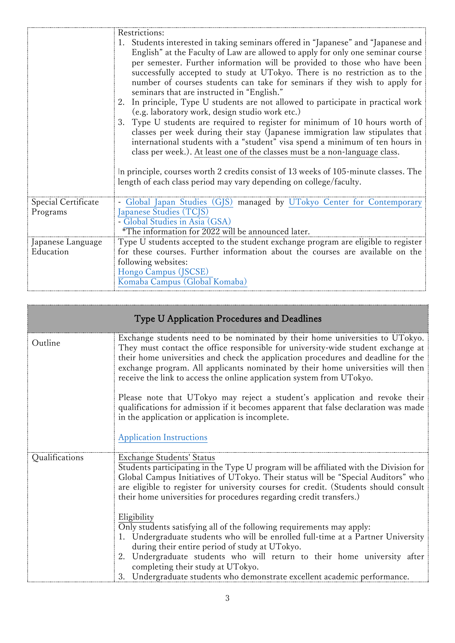|                     | Restrictions:                                                                                                                                                                                                                                                                                                                                                                                                                                                                                                                                                                                                                                                                                                                                                                                                                                                                                                                                                                                                                                                                                     |  |  |  |
|---------------------|---------------------------------------------------------------------------------------------------------------------------------------------------------------------------------------------------------------------------------------------------------------------------------------------------------------------------------------------------------------------------------------------------------------------------------------------------------------------------------------------------------------------------------------------------------------------------------------------------------------------------------------------------------------------------------------------------------------------------------------------------------------------------------------------------------------------------------------------------------------------------------------------------------------------------------------------------------------------------------------------------------------------------------------------------------------------------------------------------|--|--|--|
|                     | 1. Students interested in taking seminars offered in "Japanese" and "Japanese and<br>English" at the Faculty of Law are allowed to apply for only one seminar course<br>per semester. Further information will be provided to those who have been<br>successfully accepted to study at UTokyo. There is no restriction as to the<br>number of courses students can take for seminars if they wish to apply for<br>seminars that are instructed in "English."<br>2. In principle, Type U students are not allowed to participate in practical work<br>(e.g. laboratory work, design studio work etc.)<br>3. Type U students are required to register for minimum of 10 hours worth of<br>classes per week during their stay (Japanese immigration law stipulates that<br>international students with a "student" visa spend a minimum of ten hours in<br>class per week.). At least one of the classes must be a non-language class.<br>In principle, courses worth 2 credits consist of 13 weeks of 105-minute classes. The<br>length of each class period may vary depending on college/faculty. |  |  |  |
| Special Certificate | - Global Japan Studies (GJS) managed by UTokyo Center for Contemporary                                                                                                                                                                                                                                                                                                                                                                                                                                                                                                                                                                                                                                                                                                                                                                                                                                                                                                                                                                                                                            |  |  |  |
| Programs            | Japanese Studies (TCJS)                                                                                                                                                                                                                                                                                                                                                                                                                                                                                                                                                                                                                                                                                                                                                                                                                                                                                                                                                                                                                                                                           |  |  |  |
|                     | - Global Studies in Asia (GSA)                                                                                                                                                                                                                                                                                                                                                                                                                                                                                                                                                                                                                                                                                                                                                                                                                                                                                                                                                                                                                                                                    |  |  |  |
|                     | *The information for 2022 will be announced later.                                                                                                                                                                                                                                                                                                                                                                                                                                                                                                                                                                                                                                                                                                                                                                                                                                                                                                                                                                                                                                                |  |  |  |
| Japanese Language   | Type U students accepted to the student exchange program are eligible to register                                                                                                                                                                                                                                                                                                                                                                                                                                                                                                                                                                                                                                                                                                                                                                                                                                                                                                                                                                                                                 |  |  |  |
| Education           | for these courses. Further information about the courses are available on the                                                                                                                                                                                                                                                                                                                                                                                                                                                                                                                                                                                                                                                                                                                                                                                                                                                                                                                                                                                                                     |  |  |  |
|                     | following websites:                                                                                                                                                                                                                                                                                                                                                                                                                                                                                                                                                                                                                                                                                                                                                                                                                                                                                                                                                                                                                                                                               |  |  |  |
|                     | Hongo Campus (JSCSE)                                                                                                                                                                                                                                                                                                                                                                                                                                                                                                                                                                                                                                                                                                                                                                                                                                                                                                                                                                                                                                                                              |  |  |  |
|                     | Komaba Campus (Global Komaba)                                                                                                                                                                                                                                                                                                                                                                                                                                                                                                                                                                                                                                                                                                                                                                                                                                                                                                                                                                                                                                                                     |  |  |  |

| Type U Application Procedures and Deadlines |                                                                                                                                                                                                                                                                                                                                                                                                                                                                                                                                                                                                                                             |  |  |
|---------------------------------------------|---------------------------------------------------------------------------------------------------------------------------------------------------------------------------------------------------------------------------------------------------------------------------------------------------------------------------------------------------------------------------------------------------------------------------------------------------------------------------------------------------------------------------------------------------------------------------------------------------------------------------------------------|--|--|
| Outline                                     | Exchange students need to be nominated by their home universities to UTokyo.<br>They must contact the office responsible for university-wide student exchange at<br>their home universities and check the application procedures and deadline for the<br>exchange program. All applicants nominated by their home universities will then<br>receive the link to access the online application system from UTokyo.<br>Please note that UTokyo may reject a student's application and revoke their<br>qualifications for admission if it becomes apparent that false declaration was made<br>in the application or application is incomplete. |  |  |
|                                             | <b>Application Instructions</b>                                                                                                                                                                                                                                                                                                                                                                                                                                                                                                                                                                                                             |  |  |
| Qualifications                              | <b>Exchange Students' Status</b><br>Students participating in the Type U program will be affiliated with the Division for<br>Global Campus Initiatives of UTokyo. Their status will be "Special Auditors" who<br>are eligible to register for university courses for credit. (Students should consult<br>their home universities for procedures regarding credit transfers.)                                                                                                                                                                                                                                                                |  |  |
|                                             | Eligibility<br>Only students satisfying all of the following requirements may apply:<br>1. Undergraduate students who will be enrolled full-time at a Partner University<br>during their entire period of study at UTokyo.<br>2. Undergraduate students who will return to their home university after<br>completing their study at UTokyo.<br>3. Undergraduate students who demonstrate excellent academic performance.                                                                                                                                                                                                                    |  |  |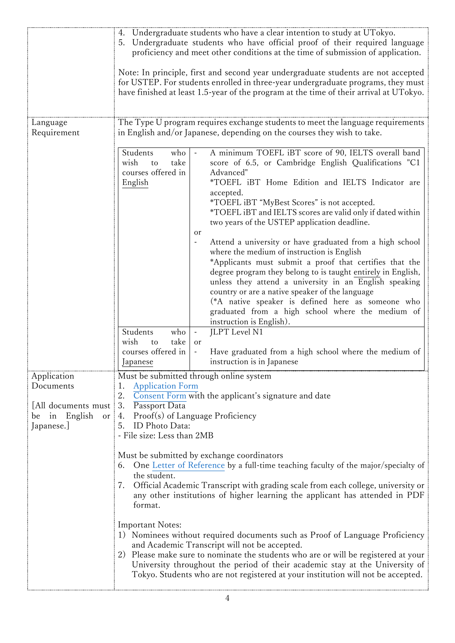|                                                                            | 4. Undergraduate students who have a clear intention to study at UTokyo.<br>Undergraduate students who have official proof of their required language<br>5.<br>proficiency and meet other conditions at the time of submission of application.<br>Note: In principle, first and second year undergraduate students are not accepted<br>for USTEP. For students enrolled in three-year undergraduate programs, they must<br>have finished at least 1.5-year of the program at the time of their arrival at UTokyo.              |  |  |  |  |
|----------------------------------------------------------------------------|--------------------------------------------------------------------------------------------------------------------------------------------------------------------------------------------------------------------------------------------------------------------------------------------------------------------------------------------------------------------------------------------------------------------------------------------------------------------------------------------------------------------------------|--|--|--|--|
| Language<br>Requirement                                                    | The Type U program requires exchange students to meet the language requirements<br>in English and/or Japanese, depending on the courses they wish to take.                                                                                                                                                                                                                                                                                                                                                                     |  |  |  |  |
|                                                                            | Students<br>who<br>A minimum TOEFL iBT score of 90, IELTS overall band<br>take<br>score of 6.5, or Cambridge English Qualifications "C1<br>wish<br>to<br>courses offered in<br>Advanced"<br>*TOEFL iBT Home Edition and IELTS Indicator are<br>English<br>accepted.<br>*TOEFL iBT "MyBest Scores" is not accepted.<br>*TOEFL iBT and IELTS scores are valid only if dated within<br>two years of the USTEP application deadline.<br>or<br>Attend a university or have graduated from a high school<br>$\overline{\phantom{a}}$ |  |  |  |  |
|                                                                            | where the medium of instruction is English<br>*Applicants must submit a proof that certifies that the<br>degree program they belong to is taught entirely in English,<br>unless they attend a university in an English speaking<br>country or are a native speaker of the language<br>(*A native speaker is defined here as someone who<br>graduated from a high school where the medium of<br>instruction is English).                                                                                                        |  |  |  |  |
|                                                                            | Students<br>JLPT Level N1<br>who<br>$\blacksquare$<br>wish<br>take<br>to<br>or<br>courses offered in<br>Have graduated from a high school where the medium of<br>$\blacksquare$<br>instruction is in Japanese<br>Japanese                                                                                                                                                                                                                                                                                                      |  |  |  |  |
| Application                                                                | Must be submitted through online system                                                                                                                                                                                                                                                                                                                                                                                                                                                                                        |  |  |  |  |
| Documents<br>All documents must<br>English<br>in<br>be<br>or<br>Japanese.] | <b>Application Form</b><br>1.<br>2.<br>Consent Form with the applicant's signature and date<br>3.<br>Passport Data<br>Proof(s) of Language Proficiency<br>4.<br>ID Photo Data:<br>5.<br>- File size: Less than 2MB                                                                                                                                                                                                                                                                                                             |  |  |  |  |
|                                                                            | Must be submitted by exchange coordinators<br>One Letter of Reference by a full-time teaching faculty of the major/specialty of<br>6.<br>the student.<br>Official Academic Transcript with grading scale from each college, university or<br>7.<br>any other institutions of higher learning the applicant has attended in PDF<br>format.                                                                                                                                                                                      |  |  |  |  |
|                                                                            | <b>Important Notes:</b><br>1) Nominees without required documents such as Proof of Language Proficiency<br>and Academic Transcript will not be accepted.<br>2) Please make sure to nominate the students who are or will be registered at your<br>University throughout the period of their academic stay at the University of<br>Tokyo. Students who are not registered at your institution will not be accepted.                                                                                                             |  |  |  |  |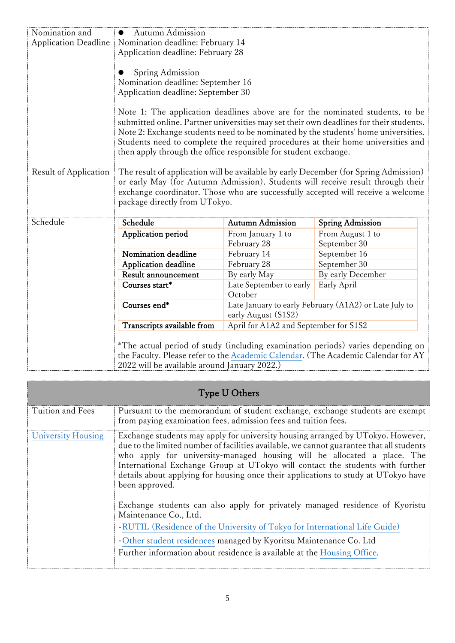| Nomination and              | Autumn Admission<br>$\bullet$                                                                                                                                          |                         |                                                       |  |  |  |
|-----------------------------|------------------------------------------------------------------------------------------------------------------------------------------------------------------------|-------------------------|-------------------------------------------------------|--|--|--|
| <b>Application Deadline</b> | Nomination deadline: February 14                                                                                                                                       |                         |                                                       |  |  |  |
|                             | Application deadline: February 28                                                                                                                                      |                         |                                                       |  |  |  |
|                             |                                                                                                                                                                        |                         |                                                       |  |  |  |
|                             | Spring Admission                                                                                                                                                       |                         |                                                       |  |  |  |
|                             | Nomination deadline: September 16                                                                                                                                      |                         |                                                       |  |  |  |
|                             | Application deadline: September 30                                                                                                                                     |                         |                                                       |  |  |  |
|                             |                                                                                                                                                                        |                         |                                                       |  |  |  |
|                             | Note 1: The application deadlines above are for the nominated students, to be                                                                                          |                         |                                                       |  |  |  |
|                             | submitted online. Partner universities may set their own deadlines for their students.                                                                                 |                         |                                                       |  |  |  |
|                             | Note 2: Exchange students need to be nominated by the students' home universities.<br>Students need to complete the required procedures at their home universities and |                         |                                                       |  |  |  |
|                             | then apply through the office responsible for student exchange.                                                                                                        |                         |                                                       |  |  |  |
|                             |                                                                                                                                                                        |                         |                                                       |  |  |  |
| Result of Application       | The result of application will be available by early December (for Spring Admission)                                                                                   |                         |                                                       |  |  |  |
|                             | or early May (for Autumn Admission). Students will receive result through their                                                                                        |                         |                                                       |  |  |  |
|                             | exchange coordinator. Those who are successfully accepted will receive a welcome                                                                                       |                         |                                                       |  |  |  |
|                             | package directly from UTokyo.                                                                                                                                          |                         |                                                       |  |  |  |
|                             |                                                                                                                                                                        |                         |                                                       |  |  |  |
| Schedule                    | Schedule                                                                                                                                                               | <b>Autumn Admission</b> | <b>Spring Admission</b>                               |  |  |  |
|                             | Application period                                                                                                                                                     | From January 1 to       | From August 1 to                                      |  |  |  |
|                             |                                                                                                                                                                        | February 28             | September 30                                          |  |  |  |
|                             | Nomination deadline                                                                                                                                                    | February 14             | September 16                                          |  |  |  |
|                             | Application deadline                                                                                                                                                   | February 28             | September 30                                          |  |  |  |
|                             | Result announcement                                                                                                                                                    | By early May            | By early December                                     |  |  |  |
|                             | Courses start*                                                                                                                                                         | Late September to early | Early April                                           |  |  |  |
|                             |                                                                                                                                                                        | October                 |                                                       |  |  |  |
|                             | Courses end*                                                                                                                                                           |                         | Late January to early February (A1A2) or Late July to |  |  |  |
|                             | early August (S1S2)                                                                                                                                                    |                         |                                                       |  |  |  |
|                             | April for A1A2 and September for S1S2<br>Transcripts available from                                                                                                    |                         |                                                       |  |  |  |
|                             |                                                                                                                                                                        |                         |                                                       |  |  |  |
|                             | *The actual period of study (including examination periods) varies depending on<br>the Faculty. Please refer to the Academic Calendar. (The Academic Calendar for AY   |                         |                                                       |  |  |  |
|                             |                                                                                                                                                                        |                         |                                                       |  |  |  |
|                             | 2022 will be available around January 2022.)                                                                                                                           |                         |                                                       |  |  |  |

| Type U Others      |                                                                                                                                                                                                                                                                                                                                                                                                                                                  |  |  |
|--------------------|--------------------------------------------------------------------------------------------------------------------------------------------------------------------------------------------------------------------------------------------------------------------------------------------------------------------------------------------------------------------------------------------------------------------------------------------------|--|--|
| Tuition and Fees   | Pursuant to the memorandum of student exchange, exchange students are exempt<br>from paying examination fees, admission fees and tuition fees.                                                                                                                                                                                                                                                                                                   |  |  |
| University Housing | Exchange students may apply for university housing arranged by UT okyo. However,<br>due to the limited number of facilities available, we cannot guarantee that all students<br>who apply for university-managed housing will be allocated a place. The<br>International Exchange Group at UTokyo will contact the students with further<br>details about applying for housing once their applications to study at UTokyo have<br>been approved. |  |  |
|                    | Exchange students can also apply for privately managed residence of Kyoristu<br>Maintenance Co., Ltd.<br>-RUTIL (Residence of the University of Tokyo for International Life Guide)                                                                                                                                                                                                                                                              |  |  |
|                    | -Other student residences managed by Kyoritsu Maintenance Co. Ltd<br>Further information about residence is available at the Housing Office.                                                                                                                                                                                                                                                                                                     |  |  |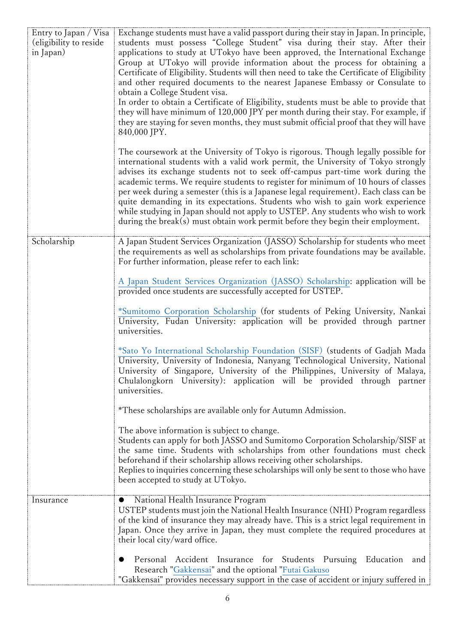| Entry to Japan / Visa<br>(eligibility to reside<br>in Japan) | Exchange students must have a valid passport during their stay in Japan. In principle,<br>students must possess "College Student" visa during their stay. After their<br>applications to study at UTokyo have been approved, the International Exchange<br>Group at UTokyo will provide information about the process for obtaining a<br>Certificate of Eligibility. Students will then need to take the Certificate of Eligibility<br>and other required documents to the nearest Japanese Embassy or Consulate to<br>obtain a College Student visa.<br>In order to obtain a Certificate of Eligibility, students must be able to provide that<br>they will have minimum of 120,000 JPY per month during their stay. For example, if<br>they are staying for seven months, they must submit official proof that they will have<br>840,000 JPY.<br>The coursework at the University of Tokyo is rigorous. Though legally possible for<br>international students with a valid work permit, the University of Tokyo strongly<br>advises its exchange students not to seek off-campus part-time work during the |
|--------------------------------------------------------------|--------------------------------------------------------------------------------------------------------------------------------------------------------------------------------------------------------------------------------------------------------------------------------------------------------------------------------------------------------------------------------------------------------------------------------------------------------------------------------------------------------------------------------------------------------------------------------------------------------------------------------------------------------------------------------------------------------------------------------------------------------------------------------------------------------------------------------------------------------------------------------------------------------------------------------------------------------------------------------------------------------------------------------------------------------------------------------------------------------------|
|                                                              | academic terms. We require students to register for minimum of 10 hours of classes<br>per week during a semester (this is a Japanese legal requirement). Each class can be<br>quite demanding in its expectations. Students who wish to gain work experience<br>while studying in Japan should not apply to USTEP. Any students who wish to work<br>during the break(s) must obtain work permit before they begin their employment.                                                                                                                                                                                                                                                                                                                                                                                                                                                                                                                                                                                                                                                                          |
| Scholarship                                                  | A Japan Student Services Organization (JASSO) Scholarship for students who meet<br>the requirements as well as scholarships from private foundations may be available.<br>For further information, please refer to each link:                                                                                                                                                                                                                                                                                                                                                                                                                                                                                                                                                                                                                                                                                                                                                                                                                                                                                |
|                                                              | A Japan Student Services Organization (JASSO) Scholarship: application will be<br>provided once students are successfully accepted for USTEP.                                                                                                                                                                                                                                                                                                                                                                                                                                                                                                                                                                                                                                                                                                                                                                                                                                                                                                                                                                |
|                                                              | *Sumitomo Corporation Scholarship (for students of Peking University, Nankai<br>University, Fudan University: application will be provided through partner<br>universities.                                                                                                                                                                                                                                                                                                                                                                                                                                                                                                                                                                                                                                                                                                                                                                                                                                                                                                                                  |
|                                                              | *Sato Yo International Scholarship Foundation (SISF) (students of Gadjah Mada<br>University, University of Indonesia, Nanyang Technological University, National<br>University of Singapore, University of the Philippines, University of Malaya,<br>Chulalongkorn University: application will be provided through partner<br>universities.                                                                                                                                                                                                                                                                                                                                                                                                                                                                                                                                                                                                                                                                                                                                                                 |
|                                                              | *These scholarships are available only for Autumn Admission.                                                                                                                                                                                                                                                                                                                                                                                                                                                                                                                                                                                                                                                                                                                                                                                                                                                                                                                                                                                                                                                 |
|                                                              | The above information is subject to change.<br>Students can apply for both JASSO and Sumitomo Corporation Scholarship/SISF at<br>the same time. Students with scholarships from other foundations must check<br>beforehand if their scholarship allows receiving other scholarships.<br>Replies to inquiries concerning these scholarships will only be sent to those who have<br>been accepted to study at UTokyo.                                                                                                                                                                                                                                                                                                                                                                                                                                                                                                                                                                                                                                                                                          |
| Insurance                                                    | National Health Insurance Program<br>$\bullet$<br>USTEP students must join the National Health Insurance (NHI) Program regardless<br>of the kind of insurance they may already have. This is a strict legal requirement in<br>Japan. Once they arrive in Japan, they must complete the required procedures at<br>their local city/ward office.                                                                                                                                                                                                                                                                                                                                                                                                                                                                                                                                                                                                                                                                                                                                                               |
|                                                              | Personal Accident Insurance for Students Pursuing Education and<br>Research "Gakkensai" and the optional "Futai Gakuso<br>"Gakkensai" provides necessary support in the case of accident or injury suffered in                                                                                                                                                                                                                                                                                                                                                                                                                                                                                                                                                                                                                                                                                                                                                                                                                                                                                               |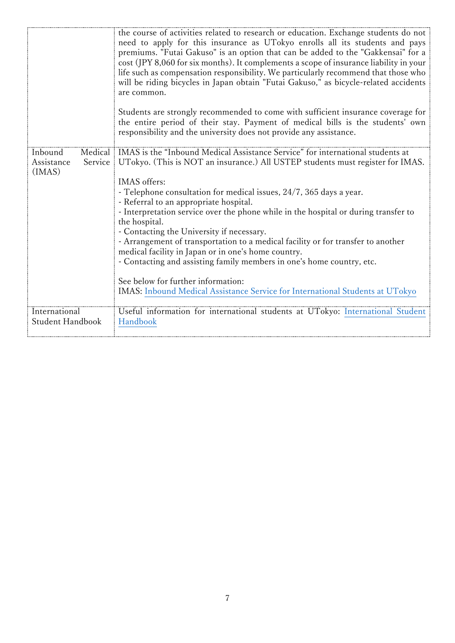|                                                       | the course of activities related to research or education. Exchange students do not<br>need to apply for this insurance as UTokyo enrolls all its students and pays<br>premiums. "Futai Gakuso" is an option that can be added to the "Gakkensai" for a<br>cost (JPY 8,060 for six months). It complements a scope of insurance liability in your<br>life such as compensation responsibility. We particularly recommend that those who<br>will be riding bicycles in Japan obtain "Futai Gakuso," as bicycle-related accidents<br>are common.<br>Students are strongly recommended to come with sufficient insurance coverage for<br>the entire period of their stay. Payment of medical bills is the students' own<br>responsibility and the university does not provide any assistance.               |
|-------------------------------------------------------|----------------------------------------------------------------------------------------------------------------------------------------------------------------------------------------------------------------------------------------------------------------------------------------------------------------------------------------------------------------------------------------------------------------------------------------------------------------------------------------------------------------------------------------------------------------------------------------------------------------------------------------------------------------------------------------------------------------------------------------------------------------------------------------------------------|
| Inbound<br>Medical<br>Service<br>Assistance<br>(IMAS) | IMAS is the "Inbound Medical Assistance Service" for international students at<br>UTokyo. (This is NOT an insurance.) All USTEP students must register for IMAS.<br>IMAS offers:<br>- Telephone consultation for medical issues, 24/7, 365 days a year.<br>- Referral to an appropriate hospital.<br>- Interpretation service over the phone while in the hospital or during transfer to<br>the hospital.<br>- Contacting the University if necessary.<br>- Arrangement of transportation to a medical facility or for transfer to another<br>medical facility in Japan or in one's home country.<br>- Contacting and assisting family members in one's home country, etc.<br>See below for further information:<br><b>IMAS:</b> Inbound Medical Assistance Service for International Students at UTokyo |
| International<br><b>Student Handbook</b>              | Useful information for international students at UTokyo: International Student<br>Handbook                                                                                                                                                                                                                                                                                                                                                                                                                                                                                                                                                                                                                                                                                                               |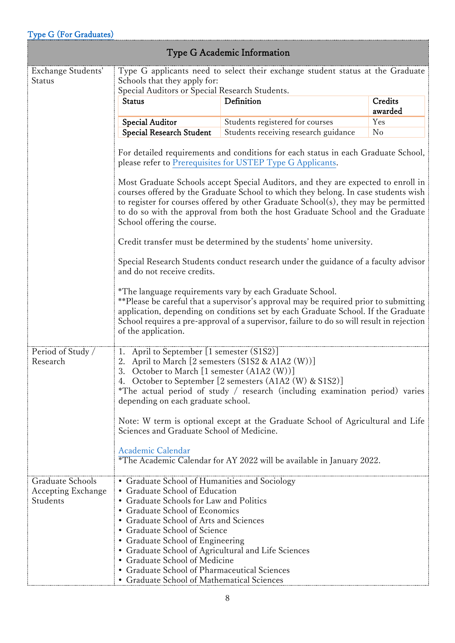## [Type G](http://www.u-tokyo.ac.jp/en/academics/ustep-type-g.html) (For Graduates)

| Type G Academic Information |  |
|-----------------------------|--|
|                             |  |

| I ype o Acauenne miormation                        |                                                                                                                                                                                                                                                                                                                                                                                                                                                                                                                                                                 |                                                                                    |                    |  |  |
|----------------------------------------------------|-----------------------------------------------------------------------------------------------------------------------------------------------------------------------------------------------------------------------------------------------------------------------------------------------------------------------------------------------------------------------------------------------------------------------------------------------------------------------------------------------------------------------------------------------------------------|------------------------------------------------------------------------------------|--------------------|--|--|
| Exchange Students'<br>Status                       | Type G applicants need to select their exchange student status at the Graduate<br>Schools that they apply for:<br>Special Auditors or Special Research Students.                                                                                                                                                                                                                                                                                                                                                                                                |                                                                                    |                    |  |  |
|                                                    | <b>Status</b>                                                                                                                                                                                                                                                                                                                                                                                                                                                                                                                                                   | Definition                                                                         | Credits<br>awarded |  |  |
|                                                    | <b>Special Auditor</b>                                                                                                                                                                                                                                                                                                                                                                                                                                                                                                                                          | Students registered for courses                                                    | Yes                |  |  |
|                                                    | <b>Special Research Student</b>                                                                                                                                                                                                                                                                                                                                                                                                                                                                                                                                 | Students receiving research guidance                                               | N <sub>o</sub>     |  |  |
|                                                    | For detailed requirements and conditions for each status in each Graduate School,<br>please refer to Prerequisites for USTEP Type G Applicants.<br>Most Graduate Schools accept Special Auditors, and they are expected to enroll in<br>courses offered by the Graduate School to which they belong. In case students wish<br>to register for courses offered by other Graduate School(s), they may be permitted<br>to do so with the approval from both the host Graduate School and the Graduate                                                              |                                                                                    |                    |  |  |
|                                                    | School offering the course.<br>Credit transfer must be determined by the students' home university.                                                                                                                                                                                                                                                                                                                                                                                                                                                             |                                                                                    |                    |  |  |
|                                                    | and do not receive credits.                                                                                                                                                                                                                                                                                                                                                                                                                                                                                                                                     | Special Research Students conduct research under the guidance of a faculty advisor |                    |  |  |
|                                                    | *The language requirements vary by each Graduate School.<br>**Please be careful that a supervisor's approval may be required prior to submitting<br>application, depending on conditions set by each Graduate School. If the Graduate<br>School requires a pre-approval of a supervisor, failure to do so will result in rejection<br>of the application.                                                                                                                                                                                                       |                                                                                    |                    |  |  |
| Period of Study /<br>Research                      | April to September [1 semester (S1S2)]<br>1.<br>2. April to March [2 semesters (S1S2 & A1A2 (W))]<br>3. October to March [1 semester (A1A2 (W))]<br>4. October to September [2 semesters (A1A2 (W) & S1S2)]<br>*The actual period of study / research (including examination period) varies<br>depending on each graduate school.<br>Note: W term is optional except at the Graduate School of Agricultural and Life<br>Sciences and Graduate School of Medicine.<br>Academic Calendar<br>*The Academic Calendar for AY 2022 will be available in January 2022. |                                                                                    |                    |  |  |
| Graduate Schools<br>Accepting Exchange<br>Students | • Graduate School of Humanities and Sociology<br>• Graduate School of Education<br>• Graduate Schools for Law and Politics<br>• Graduate School of Economics<br>• Graduate School of Arts and Sciences<br>• Graduate School of Science<br>• Graduate School of Engineering<br>• Graduate School of Agricultural and Life Sciences<br>• Graduate School of Medicine<br>• Graduate School of Pharmaceutical Sciences<br>• Graduate School of Mathematical Sciences                                                                                                |                                                                                    |                    |  |  |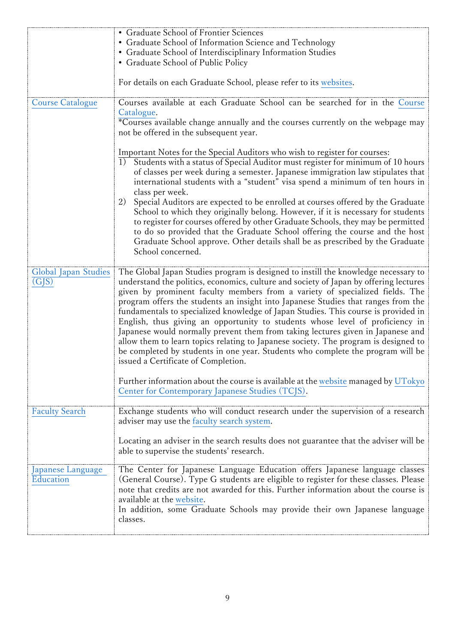|                         | • Graduate School of Frontier Sciences                                                |
|-------------------------|---------------------------------------------------------------------------------------|
|                         | • Graduate School of Information Science and Technology                               |
|                         | • Graduate School of Interdisciplinary Information Studies                            |
|                         | • Graduate School of Public Policy                                                    |
|                         |                                                                                       |
|                         | For details on each Graduate School, please refer to its websites.                    |
| <b>Course Catalogue</b> | Courses available at each Graduate School can be searched for in the Course           |
|                         | Catalogue.                                                                            |
|                         | *Courses available change annually and the courses currently on the webpage may       |
|                         | not be offered in the subsequent year.                                                |
|                         |                                                                                       |
|                         | Important Notes for the Special Auditors who wish to register for courses:            |
|                         | 1) Students with a status of Special Auditor must register for minimum of 10 hours    |
|                         | of classes per week during a semester. Japanese immigration law stipulates that       |
|                         | international students with a "student" visa spend a minimum of ten hours in          |
|                         | class per week.                                                                       |
|                         | 2)<br>Special Auditors are expected to be enrolled at courses offered by the Graduate |
|                         | School to which they originally belong. However, if it is necessary for students      |
|                         | to register for courses offered by other Graduate Schools, they may be permitted      |
|                         | to do so provided that the Graduate School offering the course and the host           |
|                         | Graduate School approve. Other details shall be as prescribed by the Graduate         |
|                         | School concerned.                                                                     |
|                         |                                                                                       |
| Global Japan Studies    | The Global Japan Studies program is designed to instill the knowledge necessary to    |
| (GJS)                   | understand the politics, economics, culture and society of Japan by offering lectures |
|                         | given by prominent faculty members from a variety of specialized fields. The          |
|                         | program offers the students an insight into Japanese Studies that ranges from the     |
|                         | fundamentals to specialized knowledge of Japan Studies. This course is provided in    |
|                         | English, thus giving an opportunity to students whose level of proficiency in         |
|                         | Japanese would normally prevent them from taking lectures given in Japanese and       |
|                         | allow them to learn topics relating to Japanese society. The program is designed to   |
|                         | be completed by students in one year. Students who complete the program will be       |
|                         | issued a Certificate of Completion.                                                   |
|                         |                                                                                       |
|                         | Further information about the course is available at the website managed by UTokyo    |
|                         | Center for Contemporary Japanese Studies (TCJS).                                      |
|                         |                                                                                       |
| <b>Faculty Search</b>   | Exchange students who will conduct research under the supervision of a research       |
|                         | adviser may use the faculty search system.                                            |
|                         |                                                                                       |
|                         | Locating an adviser in the search results does not guarantee that the adviser will be |
|                         | able to supervise the students' research.                                             |
|                         |                                                                                       |
| Japanese Language       | The Center for Japanese Language Education offers Japanese language classes           |
| <b>Education</b>        | (General Course). Type G students are eligible to register for these classes. Please  |
|                         | note that credits are not awarded for this. Further information about the course is   |
|                         | available at the website.                                                             |
|                         | In addition, some Graduate Schools may provide their own Japanese language            |
|                         | classes.                                                                              |
|                         |                                                                                       |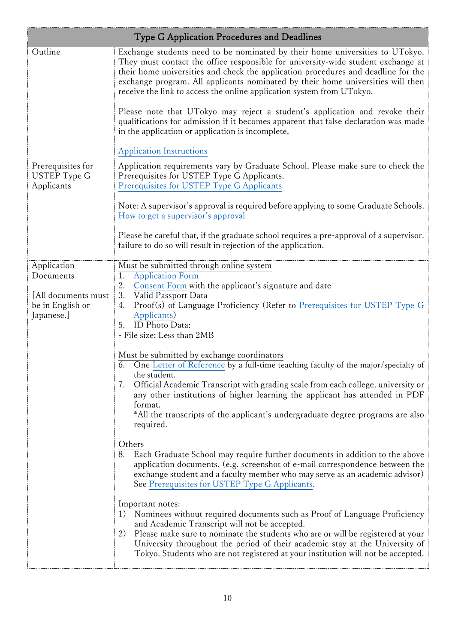| <b>Type G Application Procedures and Deadlines</b>   |                                                                                                                                                                                                                                                                                                                                                                                                                   |  |
|------------------------------------------------------|-------------------------------------------------------------------------------------------------------------------------------------------------------------------------------------------------------------------------------------------------------------------------------------------------------------------------------------------------------------------------------------------------------------------|--|
| Outline                                              | Exchange students need to be nominated by their home universities to UTokyo.<br>They must contact the office responsible for university-wide student exchange at<br>their home universities and check the application procedures and deadline for the<br>exchange program. All applicants nominated by their home universities will then<br>receive the link to access the online application system from UTokyo. |  |
|                                                      | Please note that UTokyo may reject a student's application and revoke their<br>qualifications for admission if it becomes apparent that false declaration was made<br>in the application or application is incomplete.                                                                                                                                                                                            |  |
|                                                      | <b>Application Instructions</b>                                                                                                                                                                                                                                                                                                                                                                                   |  |
| Prerequisites for<br>USTEP Type G<br>Applicants      | Application requirements vary by Graduate School. Please make sure to check the<br>Prerequisites for USTEP Type G Applicants.<br>Prerequisites for USTEP Type G Applicants                                                                                                                                                                                                                                        |  |
|                                                      | Note: A supervisor's approval is required before applying to some Graduate Schools.<br>How to get a supervisor's approval                                                                                                                                                                                                                                                                                         |  |
|                                                      | Please be careful that, if the graduate school requires a pre-approval of a supervisor,<br>failure to do so will result in rejection of the application.                                                                                                                                                                                                                                                          |  |
| Application<br>Documents                             | Must be submitted through online system<br>1.<br><b>Application Form</b>                                                                                                                                                                                                                                                                                                                                          |  |
|                                                      | Consent Form with the applicant's signature and date<br>2.                                                                                                                                                                                                                                                                                                                                                        |  |
| [All documents must<br>be in English or<br>Japanese. | 3.<br>Valid Passport Data<br>Proof(s) of Language Proficiency (Refer to Prerequisites for USTEP Type G<br>4.<br>Applicants)<br><b>ID</b> Photo Data:<br>5.<br>- File size: Less than 2MB                                                                                                                                                                                                                          |  |
|                                                      |                                                                                                                                                                                                                                                                                                                                                                                                                   |  |
|                                                      | Must be submitted by exchange coordinators<br>$\overline{6}$ . One Letter of Reference by a full-time teaching faculty of the major/specialty of<br>the student.                                                                                                                                                                                                                                                  |  |
|                                                      | Official Academic Transcript with grading scale from each college, university or<br>7.<br>any other institutions of higher learning the applicant has attended in PDF<br>format.                                                                                                                                                                                                                                  |  |
|                                                      | *All the transcripts of the applicant's undergraduate degree programs are also<br>required.                                                                                                                                                                                                                                                                                                                       |  |
|                                                      | Others<br>$\overline{8}$ .<br>Each Graduate School may require further documents in addition to the above<br>application documents. (e.g. screenshot of e-mail correspondence between the<br>exchange student and a faculty member who may serve as an academic advisor)<br>See Prerequisites for USTEP Type G Applicants.                                                                                        |  |
|                                                      | Important notes:<br>Nominees without required documents such as Proof of Language Proficiency<br>1)<br>and Academic Transcript will not be accepted.<br>2)<br>Please make sure to nominate the students who are or will be registered at your<br>University throughout the period of their academic stay at the University of<br>Tokyo. Students who are not registered at your institution will not be accepted. |  |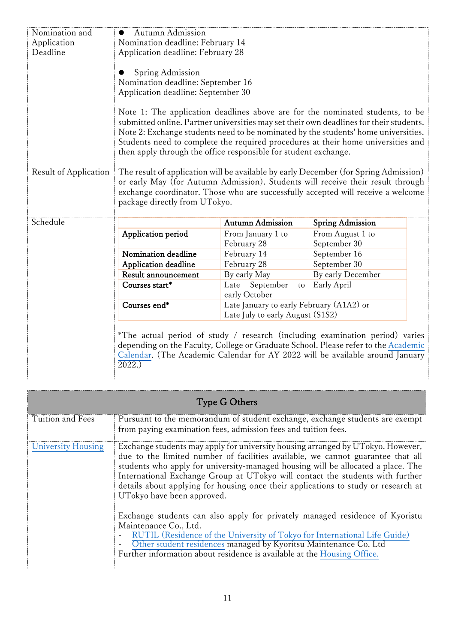| Nomination and        | Autumn Admission<br>$\bullet$                                                                                                                                  |                                          |                                                                                                                                                                                                                                                                                                                                                   |  |
|-----------------------|----------------------------------------------------------------------------------------------------------------------------------------------------------------|------------------------------------------|---------------------------------------------------------------------------------------------------------------------------------------------------------------------------------------------------------------------------------------------------------------------------------------------------------------------------------------------------|--|
| Application           | Nomination deadline: February 14                                                                                                                               |                                          |                                                                                                                                                                                                                                                                                                                                                   |  |
| Deadline              | Application deadline: February 28                                                                                                                              |                                          |                                                                                                                                                                                                                                                                                                                                                   |  |
|                       | Spring Admission<br>Nomination deadline: September 16<br>Application deadline: September 30<br>then apply through the office responsible for student exchange. |                                          | Note 1: The application deadlines above are for the nominated students, to be<br>submitted online. Partner universities may set their own deadlines for their students.<br>Note 2: Exchange students need to be nominated by the students' home universities.<br>Students need to complete the required procedures at their home universities and |  |
| Result of Application |                                                                                                                                                                |                                          | The result of application will be available by early December (for Spring Admission)                                                                                                                                                                                                                                                              |  |
|                       |                                                                                                                                                                |                                          | or early May (for Autumn Admission). Students will receive their result through<br>exchange coordinator. Those who are successfully accepted will receive a welcome                                                                                                                                                                               |  |
|                       | package directly from UTokyo.                                                                                                                                  |                                          |                                                                                                                                                                                                                                                                                                                                                   |  |
|                       |                                                                                                                                                                |                                          |                                                                                                                                                                                                                                                                                                                                                   |  |
| Schedule              |                                                                                                                                                                | <b>Autumn Admission</b>                  | <b>Spring Admission</b>                                                                                                                                                                                                                                                                                                                           |  |
|                       | Application period                                                                                                                                             | From January 1 to<br>February 28         | From August 1 to<br>September 30                                                                                                                                                                                                                                                                                                                  |  |
|                       | Nomination deadline                                                                                                                                            | February 14                              | September 16                                                                                                                                                                                                                                                                                                                                      |  |
|                       | Application deadline                                                                                                                                           | February 28                              | September 30                                                                                                                                                                                                                                                                                                                                      |  |
|                       | Result announcement                                                                                                                                            | By early May                             | By early December                                                                                                                                                                                                                                                                                                                                 |  |
|                       | Courses start*                                                                                                                                                 | September<br>Late<br>to<br>early October | Early April                                                                                                                                                                                                                                                                                                                                       |  |
|                       | Courses end*                                                                                                                                                   | Late January to early February (A1A2) or |                                                                                                                                                                                                                                                                                                                                                   |  |
|                       | Late July to early August (S1S2)                                                                                                                               |                                          |                                                                                                                                                                                                                                                                                                                                                   |  |
|                       | 2022.)                                                                                                                                                         |                                          | *The actual period of study / research (including examination period) varies<br>depending on the Faculty, College or Graduate School. Please refer to the Academic<br>Calendar. (The Academic Calendar for AY 2022 will be available around January                                                                                               |  |

| <b>Type G Others</b> |                                                                                                                                                                                                                                                                                                                                                                                                                                                                                                                                                                                                                                                                                                                                                                                                  |  |
|----------------------|--------------------------------------------------------------------------------------------------------------------------------------------------------------------------------------------------------------------------------------------------------------------------------------------------------------------------------------------------------------------------------------------------------------------------------------------------------------------------------------------------------------------------------------------------------------------------------------------------------------------------------------------------------------------------------------------------------------------------------------------------------------------------------------------------|--|
| Tuition and Fees     | Pursuant to the memorandum of student exchange, exchange students are exempt<br>from paying examination fees, admission fees and tuition fees.                                                                                                                                                                                                                                                                                                                                                                                                                                                                                                                                                                                                                                                   |  |
| University Housing   | Exchange students may apply for university housing arranged by UTokyo. However,<br>due to the limited number of facilities available, we cannot guarantee that all<br>students who apply for university-managed housing will be allocated a place. The<br>International Exchange Group at UTokyo will contact the students with further<br>details about applying for housing once their applications to study or research at<br>UTokyo have been approved.<br>Exchange students can also apply for privately managed residence of Kyoristu<br>Maintenance Co., Ltd.<br>RUTIL (Residence of the University of Tokyo for International Life Guide)<br>Other student residences managed by Kyoritsu Maintenance Co. Ltd<br>Further information about residence is available at the Housing Office. |  |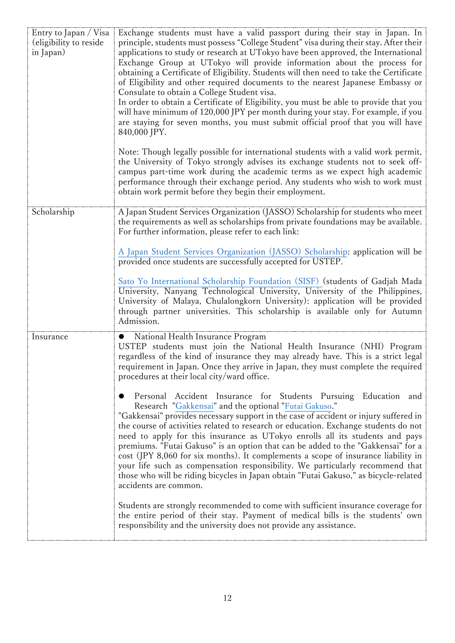| Entry to Japan / Visa<br>(eligibility to reside<br>in Japan) | Exchange students must have a valid passport during their stay in Japan. In<br>principle, students must possess "College Student" visa during their stay. After their<br>applications to study or research at UTokyo have been approved, the International<br>Exchange Group at UTokyo will provide information about the process for<br>obtaining a Certificate of Eligibility. Students will then need to take the Certificate<br>of Eligibility and other required documents to the nearest Japanese Embassy or<br>Consulate to obtain a College Student visa.<br>In order to obtain a Certificate of Eligibility, you must be able to provide that you<br>will have minimum of 120,000 JPY per month during your stay. For example, if you<br>are staying for seven months, you must submit official proof that you will have<br>840,000 JPY.<br>Note: Though legally possible for international students with a valid work permit,<br>the University of Tokyo strongly advises its exchange students not to seek off-<br>campus part-time work during the academic terms as we expect high academic<br>performance through their exchange period. Any students who wish to work must<br>obtain work permit before they begin their employment. |
|--------------------------------------------------------------|-----------------------------------------------------------------------------------------------------------------------------------------------------------------------------------------------------------------------------------------------------------------------------------------------------------------------------------------------------------------------------------------------------------------------------------------------------------------------------------------------------------------------------------------------------------------------------------------------------------------------------------------------------------------------------------------------------------------------------------------------------------------------------------------------------------------------------------------------------------------------------------------------------------------------------------------------------------------------------------------------------------------------------------------------------------------------------------------------------------------------------------------------------------------------------------------------------------------------------------------------------|
| Scholarship                                                  | A Japan Student Services Organization (JASSO) Scholarship for students who meet<br>the requirements as well as scholarships from private foundations may be available.<br>For further information, please refer to each link:<br>A Japan Student Services Organization (JASSO) Scholarship: application will be<br>provided once students are successfully accepted for USTEP.                                                                                                                                                                                                                                                                                                                                                                                                                                                                                                                                                                                                                                                                                                                                                                                                                                                                      |
|                                                              | Sato Yo International Scholarship Foundation (SISF) (students of Gadjah Mada<br>University, Nanyang Technological University, University of the Philippines,<br>University of Malaya, Chulalongkorn University): application will be provided<br>through partner universities. This scholarship is available only for Autumn<br>Admission.                                                                                                                                                                                                                                                                                                                                                                                                                                                                                                                                                                                                                                                                                                                                                                                                                                                                                                          |
| Insurance                                                    | National Health Insurance Program<br>USTEP students must join the National Health Insurance (NHI) Program<br>regardless of the kind of insurance they may already have. This is a strict legal<br>requirement in Japan. Once they arrive in Japan, they must complete the required<br>procedures at their local city/ward office.                                                                                                                                                                                                                                                                                                                                                                                                                                                                                                                                                                                                                                                                                                                                                                                                                                                                                                                   |
|                                                              | Personal Accident Insurance for Students Pursuing Education and<br>Research "Gakkensai" and the optional "Futai Gakuso."<br>"Gakkensai" provides necessary support in the case of accident or injury suffered in<br>the course of activities related to research or education. Exchange students do not<br>need to apply for this insurance as UTokyo enrolls all its students and pays<br>premiums. "Futai Gakuso" is an option that can be added to the "Gakkensai" for a<br>cost (JPY 8,060 for six months). It complements a scope of insurance liability in<br>your life such as compensation responsibility. We particularly recommend that<br>those who will be riding bicycles in Japan obtain "Futai Gakuso," as bicycle-related<br>accidents are common.                                                                                                                                                                                                                                                                                                                                                                                                                                                                                  |
|                                                              | Students are strongly recommended to come with sufficient insurance coverage for<br>the entire period of their stay. Payment of medical bills is the students' own<br>responsibility and the university does not provide any assistance.                                                                                                                                                                                                                                                                                                                                                                                                                                                                                                                                                                                                                                                                                                                                                                                                                                                                                                                                                                                                            |